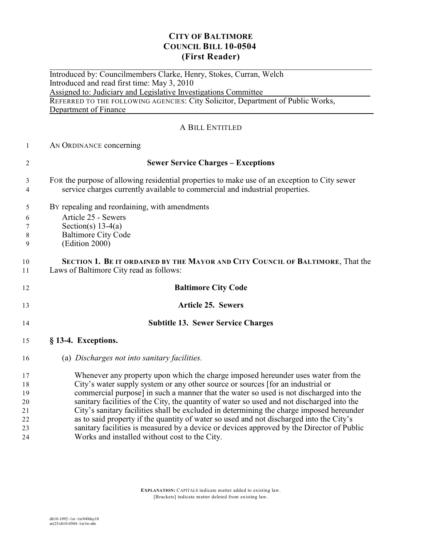## **CITY OF BALTIMORE COUNCIL BILL 10-0504 (First Reader)**

 $\overline{a}$ Introduced by: Councilmembers Clarke, Henry, Stokes, Curran, Welch Introduced and read first time: May 3, 2010 Assigned to: Judiciary and Legislative Investigations Committee REFERRED TO THE FOLLOWING AGENCIES: City Solicitor, Department of Public Works, Department of Finance

## A BILL ENTITLED

AN ORDINANCE concerning

| $\overline{2}$ | <b>Sewer Service Charges - Exceptions</b>                                                                                                                                    |
|----------------|------------------------------------------------------------------------------------------------------------------------------------------------------------------------------|
| 3<br>4         | For the purpose of allowing residential properties to make use of an exception to City sewer<br>service charges currently available to commercial and industrial properties. |
| 5              | By repealing and reordaining, with amendments                                                                                                                                |
| 6              | Article 25 - Sewers                                                                                                                                                          |
| 7              | Section(s) $13-4(a)$                                                                                                                                                         |
| $\,8\,$        | <b>Baltimore City Code</b>                                                                                                                                                   |
| 9              | (Edition 2000)                                                                                                                                                               |
| 10             | SECTION 1. BE IT ORDAINED BY THE MAYOR AND CITY COUNCIL OF BALTIMORE, That the                                                                                               |
| 11             | Laws of Baltimore City read as follows:                                                                                                                                      |
| 12             | <b>Baltimore City Code</b>                                                                                                                                                   |
| 13             | <b>Article 25. Sewers</b>                                                                                                                                                    |
| 14             | <b>Subtitle 13. Sewer Service Charges</b>                                                                                                                                    |
| 15             | § 13-4. Exceptions.                                                                                                                                                          |
| 16             | (a) Discharges not into sanitary facilities.                                                                                                                                 |
| 17             | Whenever any property upon which the charge imposed hereunder uses water from the                                                                                            |
| 18             | City's water supply system or any other source or sources [for an industrial or                                                                                              |
| 19             | commercial purpose] in such a manner that the water so used is not discharged into the                                                                                       |
| 20             | sanitary facilities of the City, the quantity of water so used and not discharged into the                                                                                   |
| 21             | City's sanitary facilities shall be excluded in determining the charge imposed hereunder                                                                                     |
| 22             | as to said property if the quantity of water so used and not discharged into the City's                                                                                      |
| 23             | sanitary facilities is measured by a device or devices approved by the Director of Public                                                                                    |

Works and installed without cost to the City.

**EXPLANATION:** CAPITALS indicate matter added to existing law. [Brackets] indicate matter deleted from existing law.